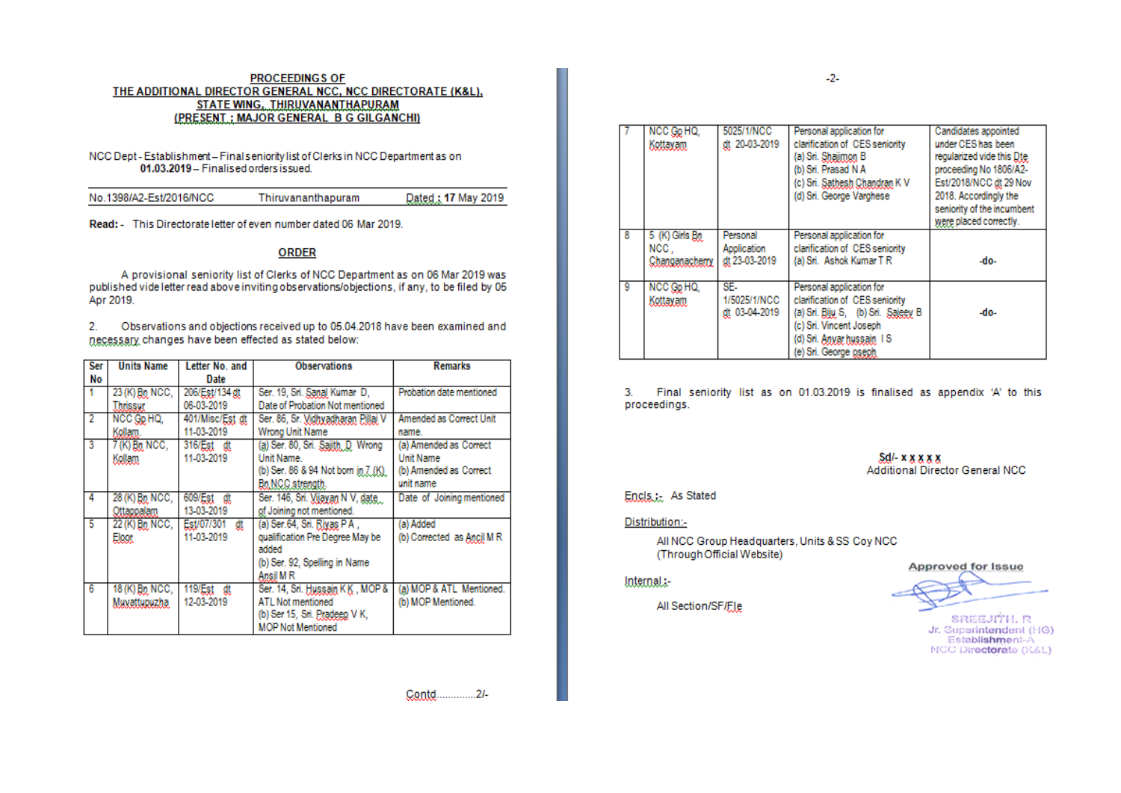### **PROCEEDINGS OF** THE ADDITIONAL DIRECTOR GENERAL NCC, NCC DIRECTORATE (K&L), STATE WING, THIRUVANANTHAPURAM (PRESENT ; MAJOR GENERAL B G GILGANCHI)

#### NCC Dept - Establishment - Final seniority list of Clerks in NCC Department as on 01.03.2019 - Finalised orders issued.

| No.1398/A2-Est/2016/NCC | Thiruvananthapuram | Dated: 17 May 2019 |
|-------------------------|--------------------|--------------------|
|                         |                    |                    |

Read: This Directorate letter of even number dated 06 Mar 2019.

## **ORDER**

A provisional seniority list of Clerks of NCC Department as on 06 Mar 2019 was published vide letter read above inviting observations/objections, if any, to be filed by 05 Apr 2019.

 $2.$ Observations and objections received up to 05.04.2018 have been examined and necessary changes have been effected as stated below:

| Ser | <b>Units Name</b>     | Letter No. and   | <b>Observations</b>                 | <b>Remarks</b>             |
|-----|-----------------------|------------------|-------------------------------------|----------------------------|
| No  |                       | <b>Date</b>      |                                     |                            |
|     | 23 (K) $B_0$ NCC,     | 206/Est/134 dt   | Ser. 19, Sri. Sanal Kumar D,        | Probation date mentioned   |
|     | Thrissur              | 06-03-2019       | Date of Probation Not mentioned     |                            |
| 2   | NCC Gp HQ,            | 401/Misc/Est dt  | Ser. 86, Sr. Vidhyadharan Pillai V  | Amended as Correct Unit    |
|     | Kollam.               | 11-03-2019       | Wrong Unit Name                     | name.                      |
| 3   | 7 (K) Bn NCC,         | 316/Est dt       | (a) Ser. 80, Sri. Sajith, D. Wrong  | (a) Amended as Correct     |
|     | Kollam.               | 11-03-2019       | Unit Name                           | <b>Unit Name</b>           |
|     |                       |                  | (b) Ser. 86 & 94 Not born in 7 (K). | (b) Amended as Correct     |
|     |                       |                  | Bo NCC strength.                    | unit name                  |
| 4   | 28 (K) Bn NCC,        | 609/Est dt       | Ser. 146, Sri. Vijayan N V, date    | Date of Joining mentioned  |
|     | Ottappalam            | 13-03-2019       | of Joining not mentioned.           |                            |
| -5  | 22 (K) Bn NCC,        | Est/07/301<br>ďt | (a) Ser.64, Sri. Rivas PA,          | (a) Added                  |
|     | <b>Eloor</b>          | 11-03-2019       | qualification Pre Degree May be     | (b) Corrected as Ancil M R |
|     |                       |                  | added                               |                            |
|     |                       |                  | (b) Ser. 92, Spelling in Name       |                            |
|     |                       |                  | Ansil M R                           |                            |
| 6   | 18 (K) <u>Bo</u> NCC, | 119/Est dt       | Ser. 14, Sri. Hussain KK, MOP &     | (a) MOP & ATL Mentioned.   |
|     | Muxattupuzha.         | 12-03-2019       | ATL Not mentioned                   | (b) MOP Mentioned.         |
|     |                       |                  | (b) Ser 15, Sri. Pradeep V K,       |                            |
|     |                       |                  | <b>MOP Not Mentioned</b>            |                            |

Contd..............2/-

|   | NCC Go HQ,<br>Kottavam                    | 5025/1/NCC<br>dt 20-03-2019              | Personal application for<br>clarification of CES seniority<br>(a) Sri. <u>Shajimon</u> B<br>(b) Sri. Prasad N A<br>(c) Sri. Sathesh Chandran K V<br>(d) Sri. George Varghese                | Candidates appointed<br>under CES has been<br>regularized vide this Dte<br>proceeding No 1806/A2-<br>Est/2018/NCC dt 29 Nov<br>2018. Accordingly the<br>seniority of the incumbent<br>were placed correctly. |
|---|-------------------------------------------|------------------------------------------|---------------------------------------------------------------------------------------------------------------------------------------------------------------------------------------------|--------------------------------------------------------------------------------------------------------------------------------------------------------------------------------------------------------------|
|   | 5 (K) Girls Bn<br>NCC.<br>Changanacherry. | Personal<br>Application<br>dt 23-03-2019 | Personal application for<br>clarification of CES seniority<br>(a) Sri. Ashok Kumar T R                                                                                                      | -do-                                                                                                                                                                                                         |
| 9 | NCC Gp HQ,<br>Kottavam                    | SE-<br>1/5025/1/NCC<br>dt 03-04-2019     | Personal application for<br>clarification of CES seniority<br>(a) Sri. Biju, S, (b) Sri. Sajeev, B<br>(c) Sri. Vincent Joseph<br>(d) Sri. <u>Anvar hussain</u> I S<br>(e) Sri. George oseph | -do-                                                                                                                                                                                                         |

 $3.$ Final seniority list as on 01.03.2019 is finalised as appendix 'A' to this proceedings.

> $Sd$ - $x$  $x$  $x$  $x$  $x$ Additional Director General NCC

## Encls.: As Stated

#### Distribution:-

All NCC Group Headquarters, Units & SS Coy NCC (Through Official Website)

## Internal:-

All Section/SF/Fle

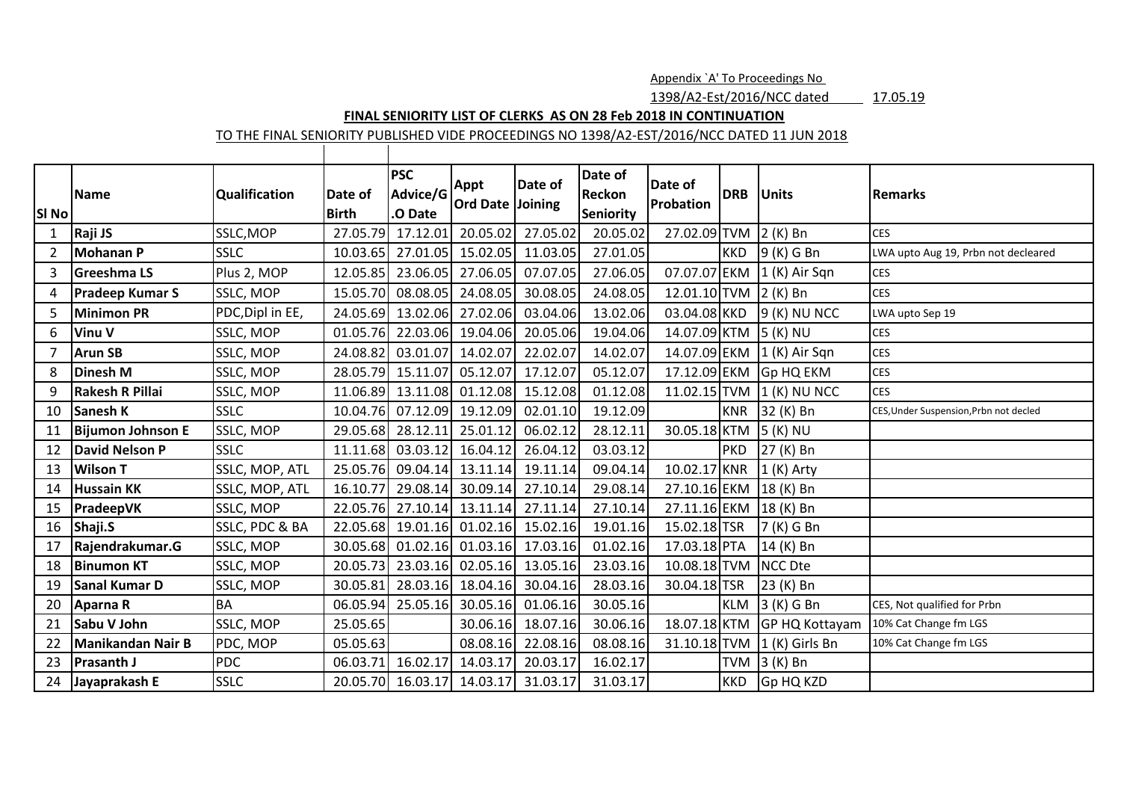Appendix `A' To Proceedings No

1398/A2-Est/2016/NCC dated 17.05.19

# **FINAL SENIORITY LIST OF CLERKS AS ON 28 Feb 2018 IN CONTINUATION**

TO THE FINAL SENIORITY PUBLISHED VIDE PROCEEDINGS NO 1398/A2-EST/2016/NCC DATED 11 JUN 2018

| SI No          | <b>Name</b>              | Qualification    | Date of<br><b>Birth</b> | <b>PSC</b><br>Advice/G<br>.O Date | <b>Appt</b><br><b>Ord Date Joining</b> | Date of  | Date of<br>Reckon<br><b>Seniority</b> | Date of<br><b>Probation</b> | <b>DRB</b> | <b>Units</b>     | Remarks                                |
|----------------|--------------------------|------------------|-------------------------|-----------------------------------|----------------------------------------|----------|---------------------------------------|-----------------------------|------------|------------------|----------------------------------------|
| $\mathbf{1}$   | Raji JS                  | SSLC, MOP        | 27.05.79                | 17.12.01                          | 20.05.02                               | 27.05.02 | 20.05.02                              | 27.02.09 TVM                |            | $2(K)$ Bn        | <b>CES</b>                             |
| $\overline{2}$ | <b>Mohanan P</b>         | <b>SSLC</b>      | 10.03.65                | 27.01.05                          | 15.02.05                               | 11.03.05 | 27.01.05                              |                             | <b>KKD</b> | 9 (K) G Bn       | LWA upto Aug 19, Prbn not decleared    |
| 3              | <b>Greeshma LS</b>       | Plus 2, MOP      | 12.05.85                | 23.06.05                          | 27.06.05                               | 07.07.05 | 27.06.05                              | 07.07.07 EKM                |            | (1 (K) Air Sgn)  | <b>CES</b>                             |
| 4              | <b>Pradeep Kumar S</b>   | SSLC, MOP        | 15.05.70                | 08.08.05                          | 24.08.05                               | 30.08.05 | 24.08.05                              | 12.01.10 TVM 2 (K) Bn       |            |                  | <b>CES</b>                             |
| 5              | <b>Minimon PR</b>        | PDC, Dipl in EE, | 24.05.69                | 13.02.06                          | 27.02.06                               | 03.04.06 | 13.02.06                              | 03.04.08 KKD                |            | 9 (K) NU NCC     | LWA upto Sep 19                        |
| 6              | <b>Vinu V</b>            | SSLC, MOP        | 01.05.76                |                                   | 22.03.06 19.04.06                      | 20.05.06 | 19.04.06                              | 14.07.09 KTM 5 (K) NU       |            |                  | <b>CES</b>                             |
| $\overline{7}$ | <b>Arun SB</b>           | SSLC, MOP        | 24.08.82                | 03.01.07                          | 14.02.07                               | 22.02.07 | 14.02.07                              | 14.07.09 EKM                |            | 1 (K) Air Sqn    | <b>CES</b>                             |
| 8              | <b>Dinesh M</b>          | SSLC, MOP        | 28.05.79                | 15.11.07                          | 05.12.07                               | 17.12.07 | 05.12.07                              | 17.12.09 EKM                |            | <b>Gp HQ EKM</b> | <b>CES</b>                             |
| 9              | <b>Rakesh R Pillai</b>   | SSLC, MOP        | 11.06.89                | 13.11.08                          | 01.12.08                               | 15.12.08 | 01.12.08                              | 11.02.15 TVM                |            | 1 (K) NU NCC     | <b>CES</b>                             |
| 10             | <b>Sanesh K</b>          | <b>SSLC</b>      | 10.04.76                | 07.12.09                          | 19.12.09                               | 02.01.10 | 19.12.09                              |                             | <b>KNR</b> | 32 (K) Bn        | CES, Under Suspension, Prbn not decled |
| 11             | <b>Bijumon Johnson E</b> | SSLC, MOP        | 29.05.68                | 28.12.11                          | 25.01.12                               | 06.02.12 | 28.12.11                              | 30.05.18 KTM                |            | 5 (K) NU         |                                        |
| 12             | <b>David Nelson P</b>    | <b>SSLC</b>      | 11.11.68                | 03.03.12                          | 16.04.12                               | 26.04.12 | 03.03.12                              |                             | <b>PKD</b> | 27 (K) Bn        |                                        |
| 13             | <b>Wilson T</b>          | SSLC, MOP, ATL   | 25.05.76                | 09.04.14                          | 13.11.14                               | 19.11.14 | 09.04.14                              | 10.02.17 KNR                |            | $1(K)$ Arty      |                                        |
| 14             | <b>Hussain KK</b>        | SSLC, MOP, ATL   | 16.10.77                | 29.08.14                          | 30.09.14                               | 27.10.14 | 29.08.14                              | 27.10.16 EKM                |            | 18 (K) Bn        |                                        |
| 15             | PradeepVK                | SSLC, MOP        | 22.05.76                |                                   | 27.10.14 13.11.14                      | 27.11.14 | 27.10.14                              | 27.11.16 EKM                |            | 18 (K) Bn        |                                        |
| 16             | Shaji.S                  | SSLC, PDC & BA   | 22.05.68                | 19.01.16                          | 01.02.16                               | 15.02.16 | 19.01.16                              | 15.02.18 TSR                |            | 7 (K) G Bn       |                                        |
| 17             | Rajendrakumar.G          | SSLC, MOP        | 30.05.68                | 01.02.16                          | 01.03.16                               | 17.03.16 | 01.02.16                              | 17.03.18 PTA                |            | 14 (K) Bn        |                                        |
| 18             | <b>Binumon KT</b>        | SSLC, MOP        | 20.05.73                |                                   | 23.03.16 02.05.16                      | 13.05.16 | 23.03.16                              | 10.08.18 TVM                |            | <b>NCC Dte</b>   |                                        |
| 19             | Sanal Kumar D            | SSLC, MOP        | 30.05.81                | 28.03.16                          | 18.04.16                               | 30.04.16 | 28.03.16                              | 30.04.18 TSR                |            | 23 (K) Bn        |                                        |
| 20             | Aparna R                 | <b>BA</b>        | 06.05.94                | 25.05.16                          | 30.05.16                               | 01.06.16 | 30.05.16                              |                             | <b>KLM</b> | 3 (K) G Bn       | CES, Not qualified for Prbn            |
| 21             | Sabu V John              | SSLC, MOP        | 25.05.65                |                                   | 30.06.16                               | 18.07.16 | 30.06.16                              | 18.07.18 KTM                |            | GP HQ Kottayam   | 10% Cat Change fm LGS                  |
| 22             | <b>Manikandan Nair B</b> | PDC, MOP         | 05.05.63                |                                   | 08.08.16                               | 22.08.16 | 08.08.16                              | 31.10.18 TVM                |            | 1 (K) Girls Bn   | 10% Cat Change fm LGS                  |
| 23             | <b>Prasanth J</b>        | <b>PDC</b>       | 06.03.71                | 16.02.17                          | 14.03.17                               | 20.03.17 | 16.02.17                              |                             | <b>TVM</b> | 3 (K) Bn         |                                        |
| 24             | Jayaprakash E            | <b>SSLC</b>      | 20.05.70                |                                   | 16.03.17 14.03.17                      | 31.03.17 | 31.03.17                              |                             | <b>KKD</b> | Gp HQ KZD        |                                        |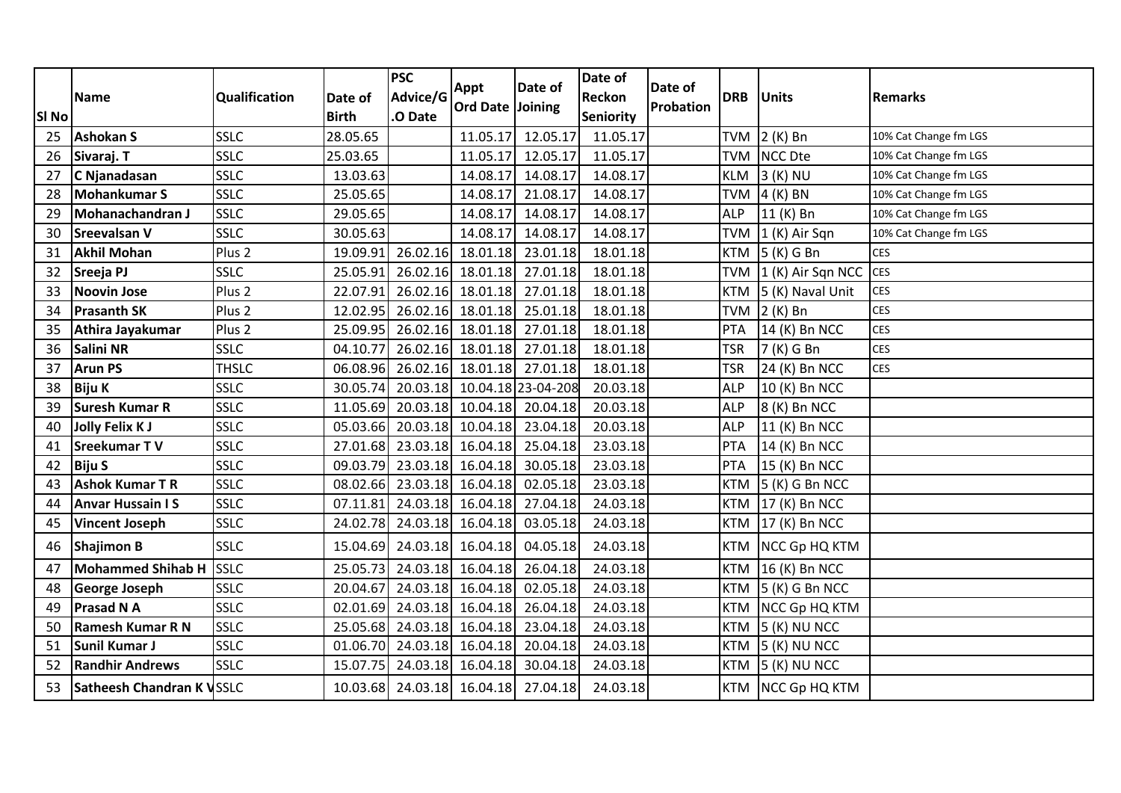| <b>SI No</b> | <b>Name</b>               | Qualification     | Date of<br><b>Birth</b> | <b>PSC</b><br>Advice/G<br>O Date | Appt<br><b>Ord Date Joining</b> | Date of                    | Date of<br><b>Reckon</b><br><b>Seniority</b> | Date of<br>Probation | <b>DRB</b> | Units                | <b>Remarks</b>        |
|--------------|---------------------------|-------------------|-------------------------|----------------------------------|---------------------------------|----------------------------|----------------------------------------------|----------------------|------------|----------------------|-----------------------|
| 25           | <b>Ashokan S</b>          | <b>SSLC</b>       | 28.05.65                |                                  | 11.05.17                        | 12.05.17                   | 11.05.17                                     |                      | <b>TVM</b> | $2(K)$ Bn            | 10% Cat Change fm LGS |
| 26           | Sivaraj. T                | <b>SSLC</b>       | 25.03.65                |                                  | 11.05.17                        | 12.05.17                   | 11.05.17                                     |                      | <b>TVM</b> | <b>NCC Dte</b>       | 10% Cat Change fm LGS |
| 27           | C Njanadasan              | <b>SSLC</b>       | 13.03.63                |                                  | 14.08.17                        | 14.08.17                   | 14.08.17                                     |                      | <b>KLM</b> | 3 (K) NU             | 10% Cat Change fm LGS |
| 28           | <b>Mohankumar S</b>       | <b>SSLC</b>       | 25.05.65                |                                  | 14.08.17                        | 21.08.17                   | 14.08.17                                     |                      | <b>TVM</b> | $4(K)$ BN            | 10% Cat Change fm LGS |
| 29           | Mohanachandran J          | <b>SSLC</b>       | 29.05.65                |                                  | 14.08.17                        | 14.08.17                   | 14.08.17                                     |                      | <b>ALP</b> | 11 (K) Bn            | 10% Cat Change fm LGS |
| 30           | <b>Sreevalsan V</b>       | <b>SSLC</b>       | 30.05.63                |                                  | 14.08.17                        | 14.08.17                   | 14.08.17                                     |                      | <b>TVM</b> | (1 (K) Air Sgn)      | 10% Cat Change fm LGS |
| 31           | <b>Akhil Mohan</b>        | Plus <sub>2</sub> | 19.09.91                | 26.02.16                         |                                 | 18.01.18 23.01.18          | 18.01.18                                     |                      | <b>KTM</b> | $5(K)$ G Bn          | <b>CES</b>            |
| 32           | Sreeja PJ                 | <b>SSLC</b>       | 25.05.91                |                                  | 26.02.16 18.01.18               | 27.01.18                   | 18.01.18                                     |                      | <b>TVM</b> | 1 (K) Air Sqn NCC    | <b>CES</b>            |
| 33           | <b>Noovin Jose</b>        | Plus <sub>2</sub> | 22.07.91                |                                  | 26.02.16 18.01.18               | 27.01.18                   | 18.01.18                                     |                      | <b>KTM</b> | 5 (K) Naval Unit     | <b>CES</b>            |
| 34           | <b>Prasanth SK</b>        | Plus <sub>2</sub> | 12.02.95                | 26.02.16                         | 18.01.18                        | 25.01.18                   | 18.01.18                                     |                      | <b>TVM</b> | $2(K)$ Bn            | <b>CES</b>            |
| 35           | Athira Jayakumar          | Plus <sub>2</sub> | 25.09.95                | 26.02.16                         | 18.01.18                        | 27.01.18                   | 18.01.18                                     |                      | <b>PTA</b> | 14 (K) Bn NCC        | <b>CES</b>            |
| 36           | Salini NR                 | <b>SSLC</b>       | 04.10.77                |                                  |                                 | 26.02.16 18.01.18 27.01.18 | 18.01.18                                     |                      | <b>TSR</b> | 7 (K) G Bn           | <b>CES</b>            |
| 37           | <b>Arun PS</b>            | <b>THSLC</b>      | 06.08.96                |                                  |                                 | 26.02.16 18.01.18 27.01.18 | 18.01.18                                     |                      | <b>TSR</b> | 24 (K) Bn NCC        | <b>CES</b>            |
| 38           | <b>Biju K</b>             | <b>SSLC</b>       | 30.05.74                | 20.03.18                         |                                 | 10.04.18 23-04-208         | 20.03.18                                     |                      | <b>ALP</b> | 10 (K) Bn NCC        |                       |
| 39           | <b>Suresh Kumar R</b>     | <b>SSLC</b>       | 11.05.69                |                                  |                                 | 20.03.18 10.04.18 20.04.18 | 20.03.18                                     |                      | <b>ALP</b> | 8 (K) Bn NCC         |                       |
| 40           | Jolly Felix KJ            | SSLC              | 05.03.66                |                                  |                                 | 20.03.18 10.04.18 23.04.18 | 20.03.18                                     |                      | <b>ALP</b> | 11 (K) Bn NCC        |                       |
| 41           | Sreekumar TV              | <b>SSLC</b>       | 27.01.68                |                                  |                                 | 23.03.18 16.04.18 25.04.18 | 23.03.18                                     |                      | PTA        | 14 (K) Bn NCC        |                       |
| 42           | <b>Biju S</b>             | <b>SSLC</b>       | 09.03.79                | 23.03.18                         | 16.04.18                        | 30.05.18                   | 23.03.18                                     |                      | PTA        | 15 (K) Bn NCC        |                       |
| 43           | <b>Ashok Kumar T R</b>    | <b>SSLC</b>       | 08.02.66                |                                  | 23.03.18 16.04.18               | 02.05.18                   | 23.03.18                                     |                      | <b>KTM</b> | 5 (K) G Bn NCC       |                       |
| 44           | <b>Anvar Hussain IS</b>   | <b>SSLC</b>       | 07.11.81                |                                  | 24.03.18 16.04.18               | 27.04.18                   | 24.03.18                                     |                      | <b>KTM</b> | 17 (K) Bn NCC        |                       |
| 45           | <b>Vincent Joseph</b>     | <b>SSLC</b>       | 24.02.78                |                                  |                                 | 24.03.18 16.04.18 03.05.18 | 24.03.18                                     |                      | <b>KTM</b> | 17 (K) Bn NCC        |                       |
| 46           | <b>Shajimon B</b>         | <b>SSLC</b>       | 15.04.69                | 24.03.18                         | 16.04.18                        | 04.05.18                   | 24.03.18                                     |                      | <b>KTM</b> | NCC Gp HQ KTM        |                       |
| 47           | Mohammed Shihab H SSLC    |                   | 25.05.73                | 24.03.18                         | 16.04.18                        | 26.04.18                   | 24.03.18                                     |                      | <b>KTM</b> | 16 (K) Bn NCC        |                       |
| 48           | George Joseph             | <b>SSLC</b>       | 20.04.67                |                                  | 24.03.18 16.04.18               | 02.05.18                   | 24.03.18                                     |                      | <b>KTM</b> | 5 (K) G Bn NCC       |                       |
| 49           | Prasad N A                | SSLC              | 02.01.69                |                                  | 24.03.18 16.04.18               | 26.04.18                   | 24.03.18                                     |                      | <b>KTM</b> | <b>NCC Gp HQ KTM</b> |                       |
| 50           | <b>Ramesh Kumar R N</b>   | <b>SSLC</b>       | 25.05.68                |                                  |                                 | 24.03.18 16.04.18 23.04.18 | 24.03.18                                     |                      | <b>KTM</b> | $5(K)$ NU NCC        |                       |
| 51           | <b>Sunil Kumar J</b>      | SSLC              | 01.06.70                |                                  | 24.03.18 16.04.18               | 20.04.18                   | 24.03.18                                     |                      | <b>KTM</b> | 5 (K) NU NCC         |                       |
| 52           | <b>Randhir Andrews</b>    | <b>SSLC</b>       | 15.07.75                |                                  | 24.03.18 16.04.18               | 30.04.18                   | 24.03.18                                     |                      | <b>KTM</b> | 5 (K) NU NCC         |                       |
| 53           | Satheesh Chandran K VSSLC |                   | 10.03.68                | 24.03.18                         | 16.04.18                        | 27.04.18                   | 24.03.18                                     |                      | <b>KTM</b> | <b>NCC Gp HQ KTM</b> |                       |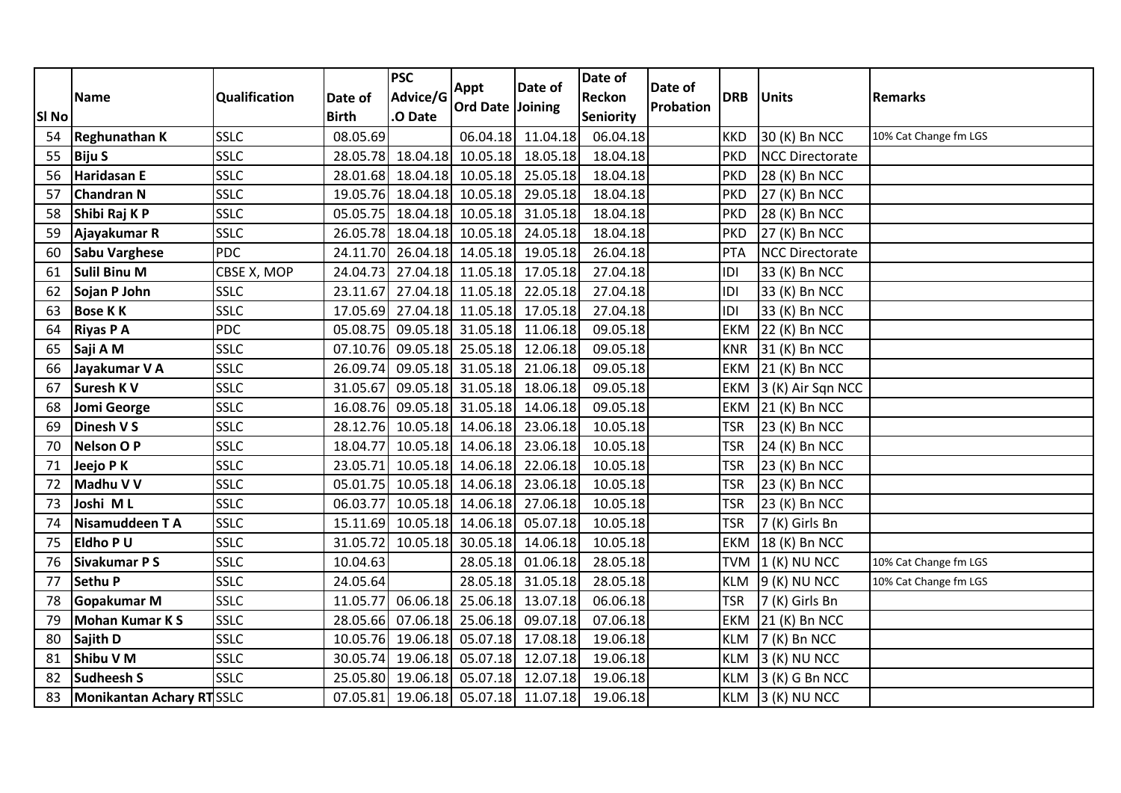| SI <sub>No</sub> | <b>Name</b>                     | <b>Qualification</b> | Date of<br><b>Birth</b> | <b>PSC</b><br>Advice/G<br>.O Date | Appt<br>Ord Date Joining   | Date of  | Date of<br>Reckon<br><b>Seniority</b> | Date of<br>Probation | <b>DRB</b> | <b>Units</b>           | <b>Remarks</b>        |
|------------------|---------------------------------|----------------------|-------------------------|-----------------------------------|----------------------------|----------|---------------------------------------|----------------------|------------|------------------------|-----------------------|
| 54               | Reghunathan K                   | <b>SSLC</b>          | 08.05.69                |                                   | 06.04.18                   | 11.04.18 | 06.04.18                              |                      | <b>KKD</b> | 30 (K) Bn NCC          | 10% Cat Change fm LGS |
| 55               | <b>Biju S</b>                   | <b>SSLC</b>          | 28.05.78                | 18.04.18                          | 10.05.18                   | 18.05.18 | 18.04.18                              |                      | <b>PKD</b> | <b>NCC Directorate</b> |                       |
| 56               | Haridasan E                     | <b>SSLC</b>          |                         |                                   | 28.01.68 18.04.18 10.05.18 | 25.05.18 | 18.04.18                              |                      | <b>PKD</b> | 28 (K) Bn NCC          |                       |
| 57               | <b>Chandran N</b>               | SSLC                 | 19.05.76                |                                   | 18.04.18 10.05.18          | 29.05.18 | 18.04.18                              |                      | <b>PKD</b> | 27 (K) Bn NCC          |                       |
| 58               | Shibi Raj K P                   | SSLC                 |                         |                                   | 05.05.75 18.04.18 10.05.18 | 31.05.18 | 18.04.18                              |                      | <b>PKD</b> | 28 (K) Bn NCC          |                       |
| 59               | Ajayakumar R                    | SSLC                 | 26.05.78                |                                   | 18.04.18 10.05.18          | 24.05.18 | 18.04.18                              |                      | <b>PKD</b> | 27 (K) Bn NCC          |                       |
| 60               | <b>Sabu Varghese</b>            | <b>PDC</b>           |                         |                                   | 24.11.70 26.04.18 14.05.18 | 19.05.18 | 26.04.18                              |                      | PTA        | <b>NCC Directorate</b> |                       |
| 61               | <b>Sulil Binu M</b>             | CBSE X, MOP          | 24.04.73                |                                   | 27.04.18 11.05.18          | 17.05.18 | 27.04.18                              |                      | IDI        | 33 (K) Bn NCC          |                       |
| 62               | Sojan P John                    | <b>SSLC</b>          | 23.11.67                |                                   | 27.04.18 11.05.18          | 22.05.18 | 27.04.18                              |                      | IDI        | 33 (K) Bn NCC          |                       |
| 63               | <b>Bose KK</b>                  | <b>SSLC</b>          | 17.05.69                |                                   | 27.04.18 11.05.18          | 17.05.18 | 27.04.18                              |                      | IDI        | 33 (K) Bn NCC          |                       |
| 64               | <b>Riyas P A</b>                | <b>PDC</b>           | 05.08.75                | 09.05.18                          | 31.05.18                   | 11.06.18 | 09.05.18                              |                      | <b>EKM</b> | 22 (K) Bn NCC          |                       |
| 65               | Saji A M                        | <b>SSLC</b>          | 07.10.76                | 09.05.18                          | 25.05.18                   | 12.06.18 | 09.05.18                              |                      | <b>KNR</b> | 31 (K) Bn NCC          |                       |
| 66               | Jayakumar V A                   | SSLC                 | 26.09.74                | 09.05.18                          | 31.05.18                   | 21.06.18 | 09.05.18                              |                      | <b>EKM</b> | 21 (K) Bn NCC          |                       |
| 67               | <b>Suresh K V</b>               | <b>SSLC</b>          | 31.05.67                |                                   | 09.05.18 31.05.18          | 18.06.18 | 09.05.18                              |                      | EKM        | 3 (K) Air Sqn NCC      |                       |
| 68               | <b>Jomi George</b>              | SSLC                 | 16.08.76                |                                   | 09.05.18 31.05.18          | 14.06.18 | 09.05.18                              |                      | EKM        | 21 (K) Bn NCC          |                       |
| 69               | Dinesh V S                      | <b>SSLC</b>          |                         |                                   | 28.12.76 10.05.18 14.06.18 | 23.06.18 | 10.05.18                              |                      | <b>TSR</b> | 23 (K) Bn NCC          |                       |
| 70               | <b>Nelson OP</b>                | <b>SSLC</b>          | 18.04.77                |                                   | 10.05.18 14.06.18          | 23.06.18 | 10.05.18                              |                      | <b>TSR</b> | 24 (K) Bn NCC          |                       |
| 71               | Jeejo PK                        | <b>SSLC</b>          | 23.05.71                |                                   | 10.05.18 14.06.18          | 22.06.18 | 10.05.18                              |                      | <b>TSR</b> | 23 (K) Bn NCC          |                       |
| 72               | Madhu V V                       | <b>SSLC</b>          | 05.01.75                |                                   | 10.05.18 14.06.18          | 23.06.18 | 10.05.18                              |                      | <b>TSR</b> | 23 (K) Bn NCC          |                       |
| 73               | Joshi ML                        | <b>SSLC</b>          | 06.03.77                | 10.05.18                          | 14.06.18                   | 27.06.18 | 10.05.18                              |                      | <b>TSR</b> | 23 (K) Bn NCC          |                       |
| 74               | Nisamuddeen T A                 | <b>SSLC</b>          |                         | 15.11.69 10.05.18                 | 14.06.18                   | 05.07.18 | 10.05.18                              |                      | <b>TSR</b> | 7 (K) Girls Bn         |                       |
| 75               | <b>Eldho PU</b>                 | <b>SSLC</b>          | 31.05.72                | 10.05.18                          | 30.05.18                   | 14.06.18 | 10.05.18                              |                      | EKM        | 18 (K) Bn NCC          |                       |
| 76               | Sivakumar P S                   | <b>SSLC</b>          | 10.04.63                |                                   | 28.05.18                   | 01.06.18 | 28.05.18                              |                      | <b>TVM</b> | $(1 (K)$ NU NCC        | 10% Cat Change fm LGS |
| 77               | <b>Sethu P</b>                  | SSLC                 | 24.05.64                |                                   | 28.05.18                   | 31.05.18 | 28.05.18                              |                      | <b>KLM</b> | 9 (K) NU NCC           | 10% Cat Change fm LGS |
| 78               | Gopakumar M                     | <b>SSLC</b>          | 11.05.77                | 06.06.18                          | 25.06.18                   | 13.07.18 | 06.06.18                              |                      | <b>TSR</b> | 7 (K) Girls Bn         |                       |
| 79               | <b>Mohan Kumar KS</b>           | <b>SSLC</b>          | 28.05.66                | 07.06.18                          | 25.06.18                   | 09.07.18 | 07.06.18                              |                      | <b>EKM</b> | 21 (K) Bn NCC          |                       |
| 80               | Sajith D                        | <b>SSLC</b>          |                         | 10.05.76 19.06.18                 | 05.07.18                   | 17.08.18 | 19.06.18                              |                      | <b>KLM</b> | 7 (K) Bn NCC           |                       |
| 81               | Shibu V M                       | <b>SSLC</b>          | 30.05.74                | 19.06.18                          | 05.07.18                   | 12.07.18 | 19.06.18                              |                      | <b>KLM</b> | 3 (K) NU NCC           |                       |
| 82               | <b>Sudheesh S</b>               | <b>SSLC</b>          | 25.05.80                | 19.06.18                          | 05.07.18                   | 12.07.18 | 19.06.18                              |                      | <b>KLM</b> | 3 (K) G Bn NCC         |                       |
| 83               | <b>Monikantan Achary RTSSLC</b> |                      | 07.05.81                | 19.06.18                          | 05.07.18                   | 11.07.18 | 19.06.18                              |                      | <b>KLM</b> | $3(K)$ NU NCC          |                       |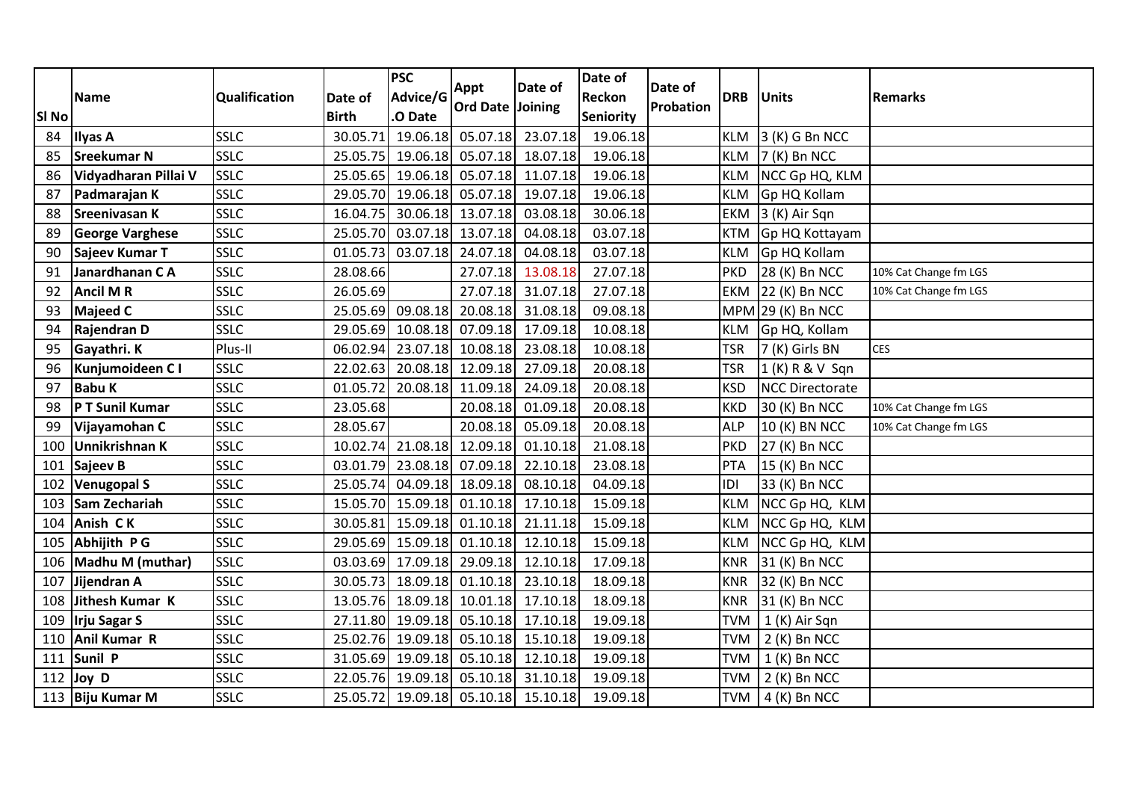| 23.07.18<br><b>SSLC</b><br>19.06.18<br>05.07.18<br>3 (K) G Bn NCC<br>30.05.71<br>19.06.18<br>84<br><b>Ilyas A</b><br><b>KLM</b><br>SSLC<br>19.06.18<br><b>Sreekumar N</b><br>19.06.18<br>05.07.18<br>18.07.18<br>7 (K) Bn NCC<br>25.05.75<br><b>KLM</b><br>85<br><b>SSLC</b><br>19.06.18<br>19.06.18<br>Vidyadharan Pillai V<br>25.05.65<br>05.07.18<br>11.07.18<br><b>KLM</b><br>NCC Gp HQ, KLM<br>86<br>SSLC<br>19.06.18<br>05.07.18<br>19.07.18<br>19.06.18<br>Gp HQ Kollam<br>87<br>Padmarajan K<br>29.05.70<br><b>KLM</b><br><b>SSLC</b><br>30.06.18<br><b>Sreenivasan K</b><br>16.04.75<br>13.07.18<br>03.08.18<br>30.06.18<br><b>EKM</b><br>3 (K) Air Sqn<br>88<br><b>SSLC</b><br>03.07.18<br>03.07.18 13.07.18<br>04.08.18<br>Gp HQ Kottayam<br>89<br><b>George Varghese</b><br>25.05.70<br><b>KTM</b><br><b>SSLC</b><br>03.07.18<br>24.07.18<br>04.08.18<br>03.07.18<br>Gp HQ Kollam<br>90<br>Sajeev Kumar T<br>01.05.73<br><b>KLM</b><br><b>SSLC</b><br>Janardhanan CA<br>28.08.66<br>13.08.18<br>27.07.18<br>28 (K) Bn NCC<br>91<br>27.07.18<br><b>PKD</b><br>10% Cat Change fm LGS<br><b>SSLC</b><br><b>Ancil MR</b><br>26.05.69<br>27.07.18<br>31.07.18<br>27.07.18<br>22 (K) Bn NCC<br>92<br><b>EKM</b><br>10% Cat Change fm LGS<br><b>SSLC</b><br>09.08.18<br>20.08.18<br>31.08.18<br>09.08.18<br><b>Majeed C</b><br>25.05.69<br>$MPM$ 29 (K) Bn NCC<br>93<br><b>SSLC</b><br>10.08.18<br>07.09.18<br>17.09.18<br>10.08.18<br>Rajendran D<br>29.05.69<br>Gp HQ, Kollam<br>94<br><b>KLM</b><br>Plus-II<br>23.07.18<br>10.08.18<br>23.08.18<br>10.08.18<br><b>CES</b><br>Gayathri. K<br>06.02.94<br><b>TSR</b><br>7 (K) Girls BN<br>95<br><b>SSLC</b><br>20.08.18<br>27.09.18<br>20.08.18<br><b>TSR</b><br>96<br>Kunjumoideen C I<br>22.02.63<br>12.09.18<br>1 (K) R & V Sqn<br>97<br><b>Babu K</b><br><b>SSLC</b><br>01.05.72<br>20.08.18<br>11.09.18<br>24.09.18<br>20.08.18<br><b>KSD</b><br><b>NCC Directorate</b><br>P T Sunil Kumar<br>SSLC<br>23.05.68<br>20.08.18<br>01.09.18<br>20.08.18<br><b>KKD</b><br>30 (K) Bn NCC<br>10% Cat Change fm LGS<br>98<br>SSLC<br>28.05.67<br>20.08.18<br>05.09.18<br>20.08.18<br><b>ALP</b><br>99<br>Vijayamohan C<br>10 (K) BN NCC<br>10% Cat Change fm LGS<br>Unnikrishnan K<br><b>SSLC</b><br>21.08.18<br>12.09.18<br>01.10.18<br>21.08.18<br>10.02.74<br><b>PKD</b><br>27 (K) Bn NCC<br>100<br><b>SSLC</b><br>03.01.79<br>23.08.18<br>07.09.18<br>22.10.18<br>23.08.18<br>PTA<br>15 (K) Bn NCC<br>101<br>Sajeev B<br><b>SSLC</b><br><b>Venugopal S</b><br>04.09.18<br>18.09.18<br>04.09.18<br>33 (K) Bn NCC<br>25.05.74<br>08.10.18<br>IDI<br>102<br>SSLC<br>15.09.18<br>Sam Zechariah<br>15.05.70 15.09.18 01.10.18<br>17.10.18<br>NCC Gp HQ, KLM<br>103<br><b>KLM</b><br>SSLC<br>15.09.18<br>Anish CK<br>15.09.18<br>01.10.18<br>21.11.18<br>30.05.81<br>NCC Gp HQ, KLM<br><b>KLM</b><br>104<br><b>SSLC</b><br>15.09.18<br>01.10.18<br>12.10.18<br>15.09.18<br>Abhijith P G<br>29.05.69<br><b>KLM</b><br>NCC Gp HQ, KLM<br>105<br><b>SSLC</b><br>17.09.18<br>29.09.18<br>17.09.18<br>Madhu M (muthar)<br>12.10.18<br><b>KNR</b><br>31 (K) Bn NCC<br>106<br>03.03.69<br><b>SSLC</b><br>Jijendran A<br>30.05.73<br>18.09.18<br>01.10.18<br>23.10.18<br>18.09.18<br><b>KNR</b><br>32 (K) Bn NCC<br>107<br><b>SSLC</b><br>18.09.18<br>18.09.18<br>108 Jithesh Kumar K<br>10.01.18<br>17.10.18<br>31 (K) Bn NCC<br>13.05.76<br><b>KNR</b><br>SSLC<br>19.09.18<br>05.10.18<br>17.10.18<br>19.09.18<br><b>Irju Sagar S</b><br>27.11.80<br><b>TVM</b><br>1 (K) Air Sqn<br>109<br>SSLC<br><b>Anil Kumar R</b><br>19.09.18<br>19.09.18<br>25.02.76<br>05.10.18<br>15.10.18<br><b>TVM</b><br>$2(K)$ Bn NCC<br>110<br>Sunil P<br><b>SSLC</b><br>31.05.69 19.09.18<br>05.10.18<br>12.10.18<br>19.09.18<br><b>TVM</b><br>$1(K)$ Bn NCC<br>111<br><b>SSLC</b><br>22.05.76<br>19.09.18<br>05.10.18<br>31.10.18<br>19.09.18<br>$2(K)$ Bn NCC<br>112<br>Joy D<br><b>TVM</b> | <b>SI No</b> | <b>Name</b>         | Qualification | Date of<br><b>Birth</b> | <b>PSC</b><br>Advice/G<br>.O Date | Appt<br><b>Ord Date Joining</b> | Date of  | Date of<br><b>Reckon</b><br>Seniority | Date of<br>Probation | <b>DRB</b> | <b>Units</b> | <b>Remarks</b> |
|-----------------------------------------------------------------------------------------------------------------------------------------------------------------------------------------------------------------------------------------------------------------------------------------------------------------------------------------------------------------------------------------------------------------------------------------------------------------------------------------------------------------------------------------------------------------------------------------------------------------------------------------------------------------------------------------------------------------------------------------------------------------------------------------------------------------------------------------------------------------------------------------------------------------------------------------------------------------------------------------------------------------------------------------------------------------------------------------------------------------------------------------------------------------------------------------------------------------------------------------------------------------------------------------------------------------------------------------------------------------------------------------------------------------------------------------------------------------------------------------------------------------------------------------------------------------------------------------------------------------------------------------------------------------------------------------------------------------------------------------------------------------------------------------------------------------------------------------------------------------------------------------------------------------------------------------------------------------------------------------------------------------------------------------------------------------------------------------------------------------------------------------------------------------------------------------------------------------------------------------------------------------------------------------------------------------------------------------------------------------------------------------------------------------------------------------------------------------------------------------------------------------------------------------------------------------------------------------------------------------------------------------------------------------------------------------------------------------------------------------------------------------------------------------------------------------------------------------------------------------------------------------------------------------------------------------------------------------------------------------------------------------------------------------------------------------------------------------------------------------------------------------------------------------------------------------------------------------------------------------------------------------------------------------------------------------------------------------------------------------------------------------------------------------------------------------------------------------------------------------------------------------------------------------------------------------------------------------------------------------------------------------------------------------------------------------------------------------------------------------------------------------------------------------------------------------------------------------------------------------------------------------------------------------------|--------------|---------------------|---------------|-------------------------|-----------------------------------|---------------------------------|----------|---------------------------------------|----------------------|------------|--------------|----------------|
|                                                                                                                                                                                                                                                                                                                                                                                                                                                                                                                                                                                                                                                                                                                                                                                                                                                                                                                                                                                                                                                                                                                                                                                                                                                                                                                                                                                                                                                                                                                                                                                                                                                                                                                                                                                                                                                                                                                                                                                                                                                                                                                                                                                                                                                                                                                                                                                                                                                                                                                                                                                                                                                                                                                                                                                                                                                                                                                                                                                                                                                                                                                                                                                                                                                                                                                                                                                                                                                                                                                                                                                                                                                                                                                                                                                                                                                                                                                       |              |                     |               |                         |                                   |                                 |          |                                       |                      |            |              |                |
|                                                                                                                                                                                                                                                                                                                                                                                                                                                                                                                                                                                                                                                                                                                                                                                                                                                                                                                                                                                                                                                                                                                                                                                                                                                                                                                                                                                                                                                                                                                                                                                                                                                                                                                                                                                                                                                                                                                                                                                                                                                                                                                                                                                                                                                                                                                                                                                                                                                                                                                                                                                                                                                                                                                                                                                                                                                                                                                                                                                                                                                                                                                                                                                                                                                                                                                                                                                                                                                                                                                                                                                                                                                                                                                                                                                                                                                                                                                       |              |                     |               |                         |                                   |                                 |          |                                       |                      |            |              |                |
|                                                                                                                                                                                                                                                                                                                                                                                                                                                                                                                                                                                                                                                                                                                                                                                                                                                                                                                                                                                                                                                                                                                                                                                                                                                                                                                                                                                                                                                                                                                                                                                                                                                                                                                                                                                                                                                                                                                                                                                                                                                                                                                                                                                                                                                                                                                                                                                                                                                                                                                                                                                                                                                                                                                                                                                                                                                                                                                                                                                                                                                                                                                                                                                                                                                                                                                                                                                                                                                                                                                                                                                                                                                                                                                                                                                                                                                                                                                       |              |                     |               |                         |                                   |                                 |          |                                       |                      |            |              |                |
|                                                                                                                                                                                                                                                                                                                                                                                                                                                                                                                                                                                                                                                                                                                                                                                                                                                                                                                                                                                                                                                                                                                                                                                                                                                                                                                                                                                                                                                                                                                                                                                                                                                                                                                                                                                                                                                                                                                                                                                                                                                                                                                                                                                                                                                                                                                                                                                                                                                                                                                                                                                                                                                                                                                                                                                                                                                                                                                                                                                                                                                                                                                                                                                                                                                                                                                                                                                                                                                                                                                                                                                                                                                                                                                                                                                                                                                                                                                       |              |                     |               |                         |                                   |                                 |          |                                       |                      |            |              |                |
|                                                                                                                                                                                                                                                                                                                                                                                                                                                                                                                                                                                                                                                                                                                                                                                                                                                                                                                                                                                                                                                                                                                                                                                                                                                                                                                                                                                                                                                                                                                                                                                                                                                                                                                                                                                                                                                                                                                                                                                                                                                                                                                                                                                                                                                                                                                                                                                                                                                                                                                                                                                                                                                                                                                                                                                                                                                                                                                                                                                                                                                                                                                                                                                                                                                                                                                                                                                                                                                                                                                                                                                                                                                                                                                                                                                                                                                                                                                       |              |                     |               |                         |                                   |                                 |          |                                       |                      |            |              |                |
|                                                                                                                                                                                                                                                                                                                                                                                                                                                                                                                                                                                                                                                                                                                                                                                                                                                                                                                                                                                                                                                                                                                                                                                                                                                                                                                                                                                                                                                                                                                                                                                                                                                                                                                                                                                                                                                                                                                                                                                                                                                                                                                                                                                                                                                                                                                                                                                                                                                                                                                                                                                                                                                                                                                                                                                                                                                                                                                                                                                                                                                                                                                                                                                                                                                                                                                                                                                                                                                                                                                                                                                                                                                                                                                                                                                                                                                                                                                       |              |                     |               |                         |                                   |                                 |          |                                       |                      |            |              |                |
|                                                                                                                                                                                                                                                                                                                                                                                                                                                                                                                                                                                                                                                                                                                                                                                                                                                                                                                                                                                                                                                                                                                                                                                                                                                                                                                                                                                                                                                                                                                                                                                                                                                                                                                                                                                                                                                                                                                                                                                                                                                                                                                                                                                                                                                                                                                                                                                                                                                                                                                                                                                                                                                                                                                                                                                                                                                                                                                                                                                                                                                                                                                                                                                                                                                                                                                                                                                                                                                                                                                                                                                                                                                                                                                                                                                                                                                                                                                       |              |                     |               |                         |                                   |                                 |          |                                       |                      |            |              |                |
|                                                                                                                                                                                                                                                                                                                                                                                                                                                                                                                                                                                                                                                                                                                                                                                                                                                                                                                                                                                                                                                                                                                                                                                                                                                                                                                                                                                                                                                                                                                                                                                                                                                                                                                                                                                                                                                                                                                                                                                                                                                                                                                                                                                                                                                                                                                                                                                                                                                                                                                                                                                                                                                                                                                                                                                                                                                                                                                                                                                                                                                                                                                                                                                                                                                                                                                                                                                                                                                                                                                                                                                                                                                                                                                                                                                                                                                                                                                       |              |                     |               |                         |                                   |                                 |          |                                       |                      |            |              |                |
|                                                                                                                                                                                                                                                                                                                                                                                                                                                                                                                                                                                                                                                                                                                                                                                                                                                                                                                                                                                                                                                                                                                                                                                                                                                                                                                                                                                                                                                                                                                                                                                                                                                                                                                                                                                                                                                                                                                                                                                                                                                                                                                                                                                                                                                                                                                                                                                                                                                                                                                                                                                                                                                                                                                                                                                                                                                                                                                                                                                                                                                                                                                                                                                                                                                                                                                                                                                                                                                                                                                                                                                                                                                                                                                                                                                                                                                                                                                       |              |                     |               |                         |                                   |                                 |          |                                       |                      |            |              |                |
|                                                                                                                                                                                                                                                                                                                                                                                                                                                                                                                                                                                                                                                                                                                                                                                                                                                                                                                                                                                                                                                                                                                                                                                                                                                                                                                                                                                                                                                                                                                                                                                                                                                                                                                                                                                                                                                                                                                                                                                                                                                                                                                                                                                                                                                                                                                                                                                                                                                                                                                                                                                                                                                                                                                                                                                                                                                                                                                                                                                                                                                                                                                                                                                                                                                                                                                                                                                                                                                                                                                                                                                                                                                                                                                                                                                                                                                                                                                       |              |                     |               |                         |                                   |                                 |          |                                       |                      |            |              |                |
|                                                                                                                                                                                                                                                                                                                                                                                                                                                                                                                                                                                                                                                                                                                                                                                                                                                                                                                                                                                                                                                                                                                                                                                                                                                                                                                                                                                                                                                                                                                                                                                                                                                                                                                                                                                                                                                                                                                                                                                                                                                                                                                                                                                                                                                                                                                                                                                                                                                                                                                                                                                                                                                                                                                                                                                                                                                                                                                                                                                                                                                                                                                                                                                                                                                                                                                                                                                                                                                                                                                                                                                                                                                                                                                                                                                                                                                                                                                       |              |                     |               |                         |                                   |                                 |          |                                       |                      |            |              |                |
|                                                                                                                                                                                                                                                                                                                                                                                                                                                                                                                                                                                                                                                                                                                                                                                                                                                                                                                                                                                                                                                                                                                                                                                                                                                                                                                                                                                                                                                                                                                                                                                                                                                                                                                                                                                                                                                                                                                                                                                                                                                                                                                                                                                                                                                                                                                                                                                                                                                                                                                                                                                                                                                                                                                                                                                                                                                                                                                                                                                                                                                                                                                                                                                                                                                                                                                                                                                                                                                                                                                                                                                                                                                                                                                                                                                                                                                                                                                       |              |                     |               |                         |                                   |                                 |          |                                       |                      |            |              |                |
|                                                                                                                                                                                                                                                                                                                                                                                                                                                                                                                                                                                                                                                                                                                                                                                                                                                                                                                                                                                                                                                                                                                                                                                                                                                                                                                                                                                                                                                                                                                                                                                                                                                                                                                                                                                                                                                                                                                                                                                                                                                                                                                                                                                                                                                                                                                                                                                                                                                                                                                                                                                                                                                                                                                                                                                                                                                                                                                                                                                                                                                                                                                                                                                                                                                                                                                                                                                                                                                                                                                                                                                                                                                                                                                                                                                                                                                                                                                       |              |                     |               |                         |                                   |                                 |          |                                       |                      |            |              |                |
|                                                                                                                                                                                                                                                                                                                                                                                                                                                                                                                                                                                                                                                                                                                                                                                                                                                                                                                                                                                                                                                                                                                                                                                                                                                                                                                                                                                                                                                                                                                                                                                                                                                                                                                                                                                                                                                                                                                                                                                                                                                                                                                                                                                                                                                                                                                                                                                                                                                                                                                                                                                                                                                                                                                                                                                                                                                                                                                                                                                                                                                                                                                                                                                                                                                                                                                                                                                                                                                                                                                                                                                                                                                                                                                                                                                                                                                                                                                       |              |                     |               |                         |                                   |                                 |          |                                       |                      |            |              |                |
|                                                                                                                                                                                                                                                                                                                                                                                                                                                                                                                                                                                                                                                                                                                                                                                                                                                                                                                                                                                                                                                                                                                                                                                                                                                                                                                                                                                                                                                                                                                                                                                                                                                                                                                                                                                                                                                                                                                                                                                                                                                                                                                                                                                                                                                                                                                                                                                                                                                                                                                                                                                                                                                                                                                                                                                                                                                                                                                                                                                                                                                                                                                                                                                                                                                                                                                                                                                                                                                                                                                                                                                                                                                                                                                                                                                                                                                                                                                       |              |                     |               |                         |                                   |                                 |          |                                       |                      |            |              |                |
|                                                                                                                                                                                                                                                                                                                                                                                                                                                                                                                                                                                                                                                                                                                                                                                                                                                                                                                                                                                                                                                                                                                                                                                                                                                                                                                                                                                                                                                                                                                                                                                                                                                                                                                                                                                                                                                                                                                                                                                                                                                                                                                                                                                                                                                                                                                                                                                                                                                                                                                                                                                                                                                                                                                                                                                                                                                                                                                                                                                                                                                                                                                                                                                                                                                                                                                                                                                                                                                                                                                                                                                                                                                                                                                                                                                                                                                                                                                       |              |                     |               |                         |                                   |                                 |          |                                       |                      |            |              |                |
|                                                                                                                                                                                                                                                                                                                                                                                                                                                                                                                                                                                                                                                                                                                                                                                                                                                                                                                                                                                                                                                                                                                                                                                                                                                                                                                                                                                                                                                                                                                                                                                                                                                                                                                                                                                                                                                                                                                                                                                                                                                                                                                                                                                                                                                                                                                                                                                                                                                                                                                                                                                                                                                                                                                                                                                                                                                                                                                                                                                                                                                                                                                                                                                                                                                                                                                                                                                                                                                                                                                                                                                                                                                                                                                                                                                                                                                                                                                       |              |                     |               |                         |                                   |                                 |          |                                       |                      |            |              |                |
|                                                                                                                                                                                                                                                                                                                                                                                                                                                                                                                                                                                                                                                                                                                                                                                                                                                                                                                                                                                                                                                                                                                                                                                                                                                                                                                                                                                                                                                                                                                                                                                                                                                                                                                                                                                                                                                                                                                                                                                                                                                                                                                                                                                                                                                                                                                                                                                                                                                                                                                                                                                                                                                                                                                                                                                                                                                                                                                                                                                                                                                                                                                                                                                                                                                                                                                                                                                                                                                                                                                                                                                                                                                                                                                                                                                                                                                                                                                       |              |                     |               |                         |                                   |                                 |          |                                       |                      |            |              |                |
|                                                                                                                                                                                                                                                                                                                                                                                                                                                                                                                                                                                                                                                                                                                                                                                                                                                                                                                                                                                                                                                                                                                                                                                                                                                                                                                                                                                                                                                                                                                                                                                                                                                                                                                                                                                                                                                                                                                                                                                                                                                                                                                                                                                                                                                                                                                                                                                                                                                                                                                                                                                                                                                                                                                                                                                                                                                                                                                                                                                                                                                                                                                                                                                                                                                                                                                                                                                                                                                                                                                                                                                                                                                                                                                                                                                                                                                                                                                       |              |                     |               |                         |                                   |                                 |          |                                       |                      |            |              |                |
|                                                                                                                                                                                                                                                                                                                                                                                                                                                                                                                                                                                                                                                                                                                                                                                                                                                                                                                                                                                                                                                                                                                                                                                                                                                                                                                                                                                                                                                                                                                                                                                                                                                                                                                                                                                                                                                                                                                                                                                                                                                                                                                                                                                                                                                                                                                                                                                                                                                                                                                                                                                                                                                                                                                                                                                                                                                                                                                                                                                                                                                                                                                                                                                                                                                                                                                                                                                                                                                                                                                                                                                                                                                                                                                                                                                                                                                                                                                       |              |                     |               |                         |                                   |                                 |          |                                       |                      |            |              |                |
|                                                                                                                                                                                                                                                                                                                                                                                                                                                                                                                                                                                                                                                                                                                                                                                                                                                                                                                                                                                                                                                                                                                                                                                                                                                                                                                                                                                                                                                                                                                                                                                                                                                                                                                                                                                                                                                                                                                                                                                                                                                                                                                                                                                                                                                                                                                                                                                                                                                                                                                                                                                                                                                                                                                                                                                                                                                                                                                                                                                                                                                                                                                                                                                                                                                                                                                                                                                                                                                                                                                                                                                                                                                                                                                                                                                                                                                                                                                       |              |                     |               |                         |                                   |                                 |          |                                       |                      |            |              |                |
|                                                                                                                                                                                                                                                                                                                                                                                                                                                                                                                                                                                                                                                                                                                                                                                                                                                                                                                                                                                                                                                                                                                                                                                                                                                                                                                                                                                                                                                                                                                                                                                                                                                                                                                                                                                                                                                                                                                                                                                                                                                                                                                                                                                                                                                                                                                                                                                                                                                                                                                                                                                                                                                                                                                                                                                                                                                                                                                                                                                                                                                                                                                                                                                                                                                                                                                                                                                                                                                                                                                                                                                                                                                                                                                                                                                                                                                                                                                       |              |                     |               |                         |                                   |                                 |          |                                       |                      |            |              |                |
|                                                                                                                                                                                                                                                                                                                                                                                                                                                                                                                                                                                                                                                                                                                                                                                                                                                                                                                                                                                                                                                                                                                                                                                                                                                                                                                                                                                                                                                                                                                                                                                                                                                                                                                                                                                                                                                                                                                                                                                                                                                                                                                                                                                                                                                                                                                                                                                                                                                                                                                                                                                                                                                                                                                                                                                                                                                                                                                                                                                                                                                                                                                                                                                                                                                                                                                                                                                                                                                                                                                                                                                                                                                                                                                                                                                                                                                                                                                       |              |                     |               |                         |                                   |                                 |          |                                       |                      |            |              |                |
|                                                                                                                                                                                                                                                                                                                                                                                                                                                                                                                                                                                                                                                                                                                                                                                                                                                                                                                                                                                                                                                                                                                                                                                                                                                                                                                                                                                                                                                                                                                                                                                                                                                                                                                                                                                                                                                                                                                                                                                                                                                                                                                                                                                                                                                                                                                                                                                                                                                                                                                                                                                                                                                                                                                                                                                                                                                                                                                                                                                                                                                                                                                                                                                                                                                                                                                                                                                                                                                                                                                                                                                                                                                                                                                                                                                                                                                                                                                       |              |                     |               |                         |                                   |                                 |          |                                       |                      |            |              |                |
|                                                                                                                                                                                                                                                                                                                                                                                                                                                                                                                                                                                                                                                                                                                                                                                                                                                                                                                                                                                                                                                                                                                                                                                                                                                                                                                                                                                                                                                                                                                                                                                                                                                                                                                                                                                                                                                                                                                                                                                                                                                                                                                                                                                                                                                                                                                                                                                                                                                                                                                                                                                                                                                                                                                                                                                                                                                                                                                                                                                                                                                                                                                                                                                                                                                                                                                                                                                                                                                                                                                                                                                                                                                                                                                                                                                                                                                                                                                       |              |                     |               |                         |                                   |                                 |          |                                       |                      |            |              |                |
|                                                                                                                                                                                                                                                                                                                                                                                                                                                                                                                                                                                                                                                                                                                                                                                                                                                                                                                                                                                                                                                                                                                                                                                                                                                                                                                                                                                                                                                                                                                                                                                                                                                                                                                                                                                                                                                                                                                                                                                                                                                                                                                                                                                                                                                                                                                                                                                                                                                                                                                                                                                                                                                                                                                                                                                                                                                                                                                                                                                                                                                                                                                                                                                                                                                                                                                                                                                                                                                                                                                                                                                                                                                                                                                                                                                                                                                                                                                       |              |                     |               |                         |                                   |                                 |          |                                       |                      |            |              |                |
|                                                                                                                                                                                                                                                                                                                                                                                                                                                                                                                                                                                                                                                                                                                                                                                                                                                                                                                                                                                                                                                                                                                                                                                                                                                                                                                                                                                                                                                                                                                                                                                                                                                                                                                                                                                                                                                                                                                                                                                                                                                                                                                                                                                                                                                                                                                                                                                                                                                                                                                                                                                                                                                                                                                                                                                                                                                                                                                                                                                                                                                                                                                                                                                                                                                                                                                                                                                                                                                                                                                                                                                                                                                                                                                                                                                                                                                                                                                       |              |                     |               |                         |                                   |                                 |          |                                       |                      |            |              |                |
|                                                                                                                                                                                                                                                                                                                                                                                                                                                                                                                                                                                                                                                                                                                                                                                                                                                                                                                                                                                                                                                                                                                                                                                                                                                                                                                                                                                                                                                                                                                                                                                                                                                                                                                                                                                                                                                                                                                                                                                                                                                                                                                                                                                                                                                                                                                                                                                                                                                                                                                                                                                                                                                                                                                                                                                                                                                                                                                                                                                                                                                                                                                                                                                                                                                                                                                                                                                                                                                                                                                                                                                                                                                                                                                                                                                                                                                                                                                       |              |                     |               |                         |                                   |                                 |          |                                       |                      |            |              |                |
|                                                                                                                                                                                                                                                                                                                                                                                                                                                                                                                                                                                                                                                                                                                                                                                                                                                                                                                                                                                                                                                                                                                                                                                                                                                                                                                                                                                                                                                                                                                                                                                                                                                                                                                                                                                                                                                                                                                                                                                                                                                                                                                                                                                                                                                                                                                                                                                                                                                                                                                                                                                                                                                                                                                                                                                                                                                                                                                                                                                                                                                                                                                                                                                                                                                                                                                                                                                                                                                                                                                                                                                                                                                                                                                                                                                                                                                                                                                       |              |                     |               |                         |                                   |                                 |          |                                       |                      |            |              |                |
|                                                                                                                                                                                                                                                                                                                                                                                                                                                                                                                                                                                                                                                                                                                                                                                                                                                                                                                                                                                                                                                                                                                                                                                                                                                                                                                                                                                                                                                                                                                                                                                                                                                                                                                                                                                                                                                                                                                                                                                                                                                                                                                                                                                                                                                                                                                                                                                                                                                                                                                                                                                                                                                                                                                                                                                                                                                                                                                                                                                                                                                                                                                                                                                                                                                                                                                                                                                                                                                                                                                                                                                                                                                                                                                                                                                                                                                                                                                       | 113          | <b>Biju Kumar M</b> | <b>SSLC</b>   | 25.05.72                | 19.09.18                          | 05.10.18                        | 15.10.18 | 19.09.18                              |                      | <b>TVM</b> | 4 (K) Bn NCC |                |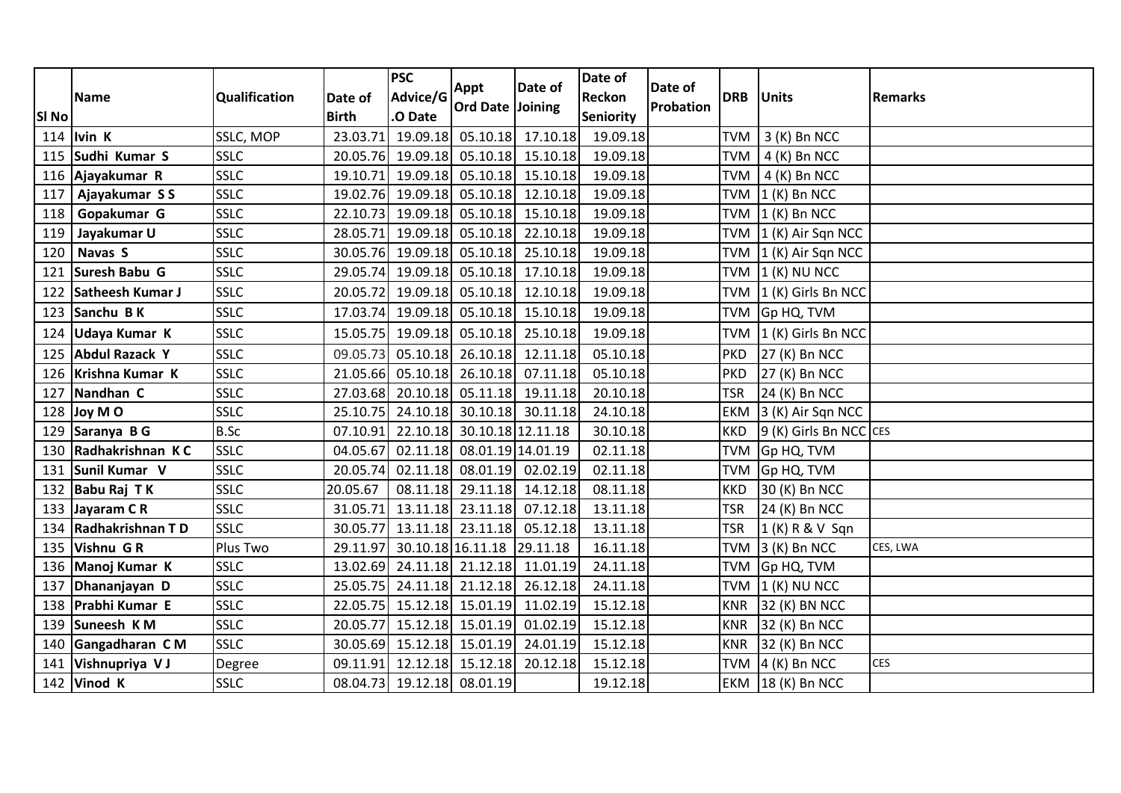| SI <sub>No</sub> | <b>Name</b>         | Qualification | Date of<br><b>Birth</b> | <b>PSC</b><br>Advice/G<br>O Date | Appt<br><b>Ord Date Joining</b> | Date of           | Date of<br>Reckon<br><b>Seniority</b> | Date of<br><b>Probation</b> | <b>DRB</b> | <b>Units</b>           | <b>Remarks</b> |
|------------------|---------------------|---------------|-------------------------|----------------------------------|---------------------------------|-------------------|---------------------------------------|-----------------------------|------------|------------------------|----------------|
|                  | 114 $ $ Ivin K      | SSLC, MOP     | 23.03.71                | 19.09.18                         | 05.10.18                        | 17.10.18          | 19.09.18                              |                             | <b>TVM</b> | 3 (K) Bn NCC           |                |
|                  | 115 Sudhi Kumar S   | <b>SSLC</b>   | 20.05.76                |                                  | 19.09.18 05.10.18               | 15.10.18          | 19.09.18                              |                             | <b>TVM</b> | $4(K)$ Bn NCC          |                |
|                  | 116 Ajayakumar R    | <b>SSLC</b>   | 19.10.71                | 19.09.18                         |                                 | 05.10.18 15.10.18 | 19.09.18                              |                             | <b>TVM</b> | $4(K)$ Bn NCC          |                |
| 117              | Ajayakumar SS       | SSLC          | 19.02.76                |                                  | $19.09.18$ 05.10.18             | 12.10.18          | 19.09.18                              |                             | <b>TVM</b> | $1(K)$ Bn NCC          |                |
| 118              | Gopakumar G         | <b>SSLC</b>   | 22.10.73                |                                  | 19.09.18 05.10.18               | 15.10.18          | 19.09.18                              |                             | <b>TVM</b> | $1(K)$ Bn NCC          |                |
| 119              | Jayakumar U         | SSLC          | 28.05.71                | 19.09.18                         | 05.10.18                        | 22.10.18          | 19.09.18                              |                             | <b>TVM</b> | 1 (K) Air Sqn NCC      |                |
| 120              | Navas S             | <b>SSLC</b>   |                         | 30.05.76 19.09.18 05.10.18       |                                 | 25.10.18          | 19.09.18                              |                             | <b>TVM</b> | 1 (K) Air Sqn NCC      |                |
| 121              | Suresh Babu G       | <b>SSLC</b>   | 29.05.74                |                                  | 19.09.18 05.10.18               | 17.10.18          | 19.09.18                              |                             | <b>TVM</b> | $(1 (K)$ NU NCC        |                |
| 122              | Satheesh Kumar J    | <b>SSLC</b>   | 20.05.72                | 19.09.18                         | 05.10.18                        | 12.10.18          | 19.09.18                              |                             | <b>TVM</b> | 1 (K) Girls Bn NCC     |                |
| 123              | Sanchu B K          | <b>SSLC</b>   | 17.03.74                |                                  | 19.09.18 05.10.18               | 15.10.18          | 19.09.18                              |                             | <b>TVM</b> | Gp HQ, TVM             |                |
|                  | 124 Udaya Kumar K   | <b>SSLC</b>   | 15.05.75                |                                  | 19.09.18 05.10.18               | 25.10.18          | 19.09.18                              |                             | <b>TVM</b> | 1 (K) Girls Bn NCC     |                |
|                  | 125 Abdul Razack Y  | <b>SSLC</b>   | 09.05.73                |                                  | $05.10.18$ 26.10.18             | 12.11.18          | 05.10.18                              |                             | PKD        | 27 (K) Bn NCC          |                |
| 126              | Krishna Kumar K     | <b>SSLC</b>   | 21.05.66                | 05.10.18                         | 26.10.18                        | 07.11.18          | 05.10.18                              |                             | PKD        | 27 (K) Bn NCC          |                |
| 127              | Nandhan C           | <b>SSLC</b>   | 27.03.68                |                                  | 20.10.18 05.11.18               | 19.11.18          | 20.10.18                              |                             | <b>TSR</b> | 24 (K) Bn NCC          |                |
|                  | 128 Joy M O         | <b>SSLC</b>   | 25.10.75                | 24.10.18                         | 30.10.18                        | 30.11.18          | 24.10.18                              |                             | <b>EKM</b> | 3 (K) Air Sqn NCC      |                |
|                  | 129 Saranya B G     | <b>B.Sc</b>   | 07.10.91                |                                  | 22.10.18 30.10.18 12.11.18      |                   | 30.10.18                              |                             | <b>KKD</b> | 9 (K) Girls Bn NCC CES |                |
| 130              | Radhakrishnan KC    | <b>SSLC</b>   | 04.05.67                |                                  | 02.11.18 08.01.19 14.01.19      |                   | 02.11.18                              |                             | <b>TVM</b> | Gp HQ, TVM             |                |
| 131              | Sunil Kumar V       | <b>SSLC</b>   | 20.05.74                | 02.11.18                         | 08.01.19                        | 02.02.19          | 02.11.18                              |                             | <b>TVM</b> | Gp HQ, TVM             |                |
| 132              | Babu Raj TK         | <b>SSLC</b>   | 20.05.67                |                                  | 08.11.18 29.11.18               | 14.12.18          | 08.11.18                              |                             | <b>KKD</b> | 30 (K) Bn NCC          |                |
| 133              | Jayaram C R         | <b>SSLC</b>   | 31.05.71                |                                  | 13.11.18 23.11.18               | 07.12.18          | 13.11.18                              |                             | <b>TSR</b> | 24 (K) Bn NCC          |                |
| 134              | Radhakrishnan TD    | <b>SSLC</b>   | 30.05.77                |                                  | 13.11.18 23.11.18               | 05.12.18          | 13.11.18                              |                             | <b>TSR</b> | 1 (K) R & V Sqn        |                |
| 135              | Vishnu GR           | Plus Two      | 29.11.97                | 30.10.18 16.11.18                |                                 | 29.11.18          | 16.11.18                              |                             | <b>TVM</b> | 3 (K) Bn NCC           | CES, LWA       |
|                  | 136   Manoj Kumar K | <b>SSLC</b>   | 13.02.69                |                                  | 24.11.18 21.12.18               | 11.01.19          | 24.11.18                              |                             | <b>TVM</b> | Gp HQ, TVM             |                |
| 137              | Dhananjayan D       | <b>SSLC</b>   | 25.05.75                |                                  | 24.11.18 21.12.18               | 26.12.18          | 24.11.18                              |                             | <b>TVM</b> | $1$ (K) NU NCC         |                |
|                  | 138 Prabhi Kumar E  | SSLC          | 22.05.75                | 15.12.18                         | 15.01.19                        | 11.02.19          | 15.12.18                              |                             | <b>KNR</b> | 32 (K) BN NCC          |                |
|                  | 139 Suneesh K M     | SSLC          | 20.05.77                |                                  | 15.12.18 15.01.19               | 01.02.19          | 15.12.18                              |                             | <b>KNR</b> | 32 (K) Bn NCC          |                |
| 140              | Gangadharan CM      | <b>SSLC</b>   | 30.05.69                |                                  | 15.12.18 15.01.19               | 24.01.19          | 15.12.18                              |                             | <b>KNR</b> | 32 (K) Bn NCC          |                |
| 141              | Vishnupriya VJ      | Degree        | 09.11.91                |                                  | 12.12.18 15.12.18               | 20.12.18          | 15.12.18                              |                             | <b>TVM</b> | 4 (K) Bn NCC           | <b>CES</b>     |
| 142              | Vinod K             | <b>SSLC</b>   | 08.04.73                |                                  | 19.12.18 08.01.19               |                   | 19.12.18                              |                             | <b>EKM</b> | 18 (K) Bn NCC          |                |